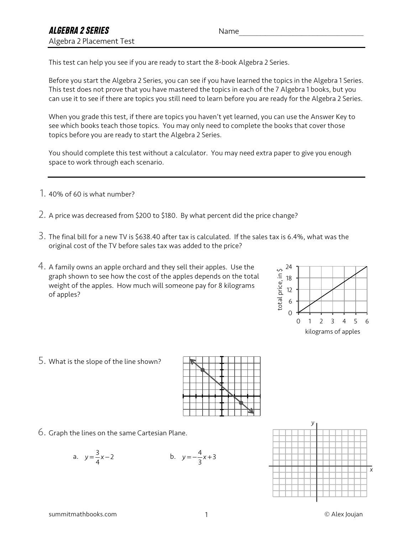This test can help you see if you are ready to start the 8-book Algebra 2 Series.

Before you start the Algebra 2 Series, you can see if you have learned the topics in the Algebra 1 Series. This test does not prove that you have mastered the topics in each of the 7 Algebra 1 books, but you can use it to see if there are topics you still need to learn before you are ready for the Algebra 2 Series.

When you grade this test, if there are topics you haven't yet learned, you can use the Answer Key to see which books teach those topics. You may only need to complete the books that cover those topics before you are ready to start the Algebra 2 Series.

You should complete this test without a calculator. You may need extra paper to give you enough space to work through each scenario.

- 1. 40% of 60 is what number?
- 2. A price was decreased from \$200 to \$180. By what percent did the price change?
- 3. The final bill for a new TV is \$638.40 after tax is calculated. If the sales tax is 6.4%, what was the original cost of the TV before sales tax was added to the price?
- 4. A family owns an apple orchard and they sell their apples. Use the graph shown to see how the cost of the apples depends on the total weight of the apples. How much will someone pay for 8 kilograms of apples?



5. What is the slope of the line shown?



6. Graph the lines on the same Cartesian Plane.

a. 
$$
y = \frac{3}{4}x - 2
$$
 b.  $y = -\frac{4}{3}x + 3$ 

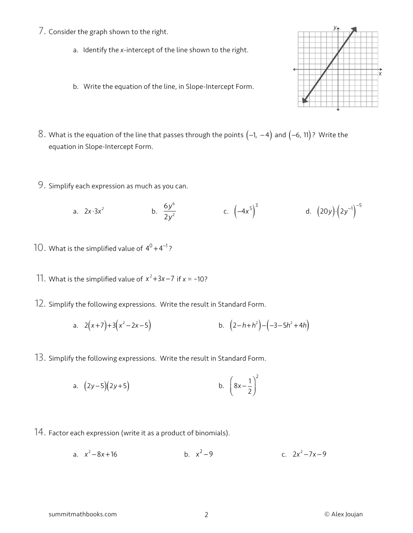- 7. Consider the graph shown to the right.
	- a. Identify the *x*-intercept of the line shown to the right.
	- b. Write the equation of the line, in Slope-Intercept Form.
- 8. What is the equation of the line that passes through the points  $(-1, -4)$  and  $(-6, 11)$ ? Write the equation in Slope-Intercept Form.
- 9. Simplify each expression as much as you can.

a. 
$$
2x \cdot 3x^2
$$
 b.  $\frac{6y^6}{2y^2}$  c.  $(-4x^5)^3$  d.  $(20y) \cdot (2y^{-1})^{-5}$ 

- $10$  . What is the simplified value of  $4^0 + 4^{-1}$ ?
- 11. What is the simplified value of  $x^2 + 3x 7$  if  $x = -10$ ?
- 12. Simplify the following expressions. Write the result in Standard Form.

a. 
$$
2(x+7)+3(x^2-2x-5)
$$
 b.  $(2-h+h^2)-(-3-5h^2+4h)$ 

13. Simplify the following expressions. Write the result in Standard Form.

a. 
$$
(2y-5)(2y+5)
$$
 b.  $\left(8x-\frac{1}{2}\right)^2$ 

- 14. Factor each expression (write it as a product of binomials).
	- a.  $x^2 8x + 16$  b.  $x^2 9$  c.  $2x^2 7x 9$



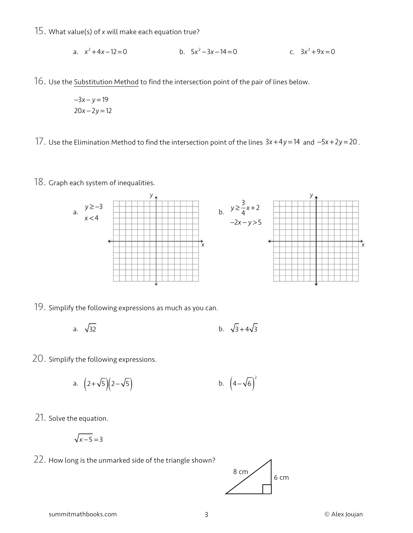15. What value(s) of *<sup>x</sup>* will make each equation true?

a. 
$$
x^2 + 4x - 12 = 0
$$
 b.  $5x^2 - 3x - 14 = 0$  c.  $3x^2 + 9x = 0$ 

16. Use the Substitution Method to find the intersection point of the pair of lines below.

−3*x* − *y* = 19 20*x* − 2*y* = 12

17. Use the Elimination Method to find the intersection point of the lines 3*x* +4*y* = 14 and −5*<sup>x</sup>* <sup>+</sup> <sup>2</sup>*<sup>y</sup>* <sup>=</sup> <sup>20</sup> .

18. Graph each system of inequalities.



19. Simplify the following expressions as much as you can.

a. 
$$
\sqrt{32}
$$
 b.  $\sqrt{3} + 4\sqrt{3}$ 

20. Simplify the following expressions.

a. 
$$
(2+\sqrt{5})(2-\sqrt{5})
$$
 b.  $(4-\sqrt{6})^2$ 

21. Solve the equation.

$$
\sqrt{x-5} = 3
$$

22. How long is the unmarked side of the triangle shown?